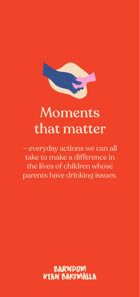

# Moments that matter

– everyday actions we can all take to make a difference in the lives of children whose parents have drinking issues.

> BARNDOM **N BAKSMÄLLA**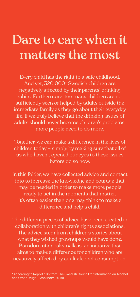## Dare to care when it matters the most

Every child has the right to a safe childhood. And yet, 320 000\* Swedish children are negatively affected by their parents' drinking habits. Furthermore, too many children are not sufficiently seen or helped by adults outside the immediate family as they go about their everyday life. If we truly believe that the drinking issues of adults should never become children's problems, more people need to do more.

Together, we can make a difference in the lives of children today – simply by making sure that all of us who haven't opened our eyes to these issues before do so now.

In this folder, we have collected advice and contact info to increase the knowledge and courage that may be needed in order to make more people ready to act in the moments that matter. It's often easier than one may think to make a difference and help a child.

The different pieces of advice have been created in collaboration with children's rights associations. The advice stem from children's stories about what they wished grownups would have done. Barndom utan baksmälla is an initiative that aims to make a difference for children who are negatively affected by adult alcohol consumption.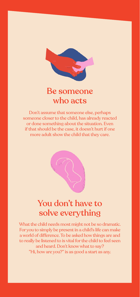

#### Be someone who acts

Don't assume that someone else, perhaps someone closer to the child, has already reacted or done something about the situation. Even if that should be the case, it doesn't hurt if one more adult show the child that they care.



## You don't have to solve everything

What the child needs most might not be so dramatic. For you to simply be present in a child's life can make a world of difference. To be asked how things are and to really be listened to is vital for the child to feel seen and heard. Don't know what to say? "Hi, how are you?" is as good a start as any.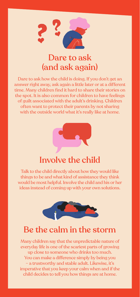

#### Dare to ask (and ask again)

Dare to ask how the child is doing. If you don't get an answer right away, ask again a little later or at a different time. Many children find it hard to share their stories on the spot. It is also common for children to have feelings of guilt associated with the adult's drinking. Children often want to protect their parents by not sharing with the outside world what it's really like at home.



#### Involve the child

Talk to the child directly about how they would like things to be and what kind of assistance they think would be most helpful. Involve the child and his or her ideas instead of coming up with your own solutions.



#### Be the calm in the storm

Many children say that the unpredictable nature of everyday life is one of the scariest parts of growing up close to someone who drinks too much. You can make a difference simply by being you – a trustworthy and stable adult. Likewise, it's imperative that you keep your calm when and if the child decides to tell you how things are at home.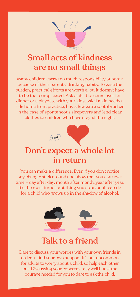

## Small acts of kindness are no small things

Many children carry too much responsibility at home because of their parents' drinking habits. To ease the burden, practical efforts are worth a lot. It doesn't have to be that complicated. Ask a child to come over for dinner or a playdate with your kids, ask if a kid needs a ride home from practice, buy a few extra toothbrushes in the case of spontaneous sleepovers and lend clean clothes to children who have stayed the night.



You can make a difference. Even if you don't notice any change: stick around and show that you care over time – day after day, month after month, year after year. It's the most important thing you as an adult can do for a child who grows up in the shadow of alcohol.



#### Talk to a friend

Dare to discuss your worries with your own friends in order to find your own support. It's not uncommon for adults to worry about a child, so help each other out. Discussing your concerns may well boost the courage needed for you to dare to ask the child.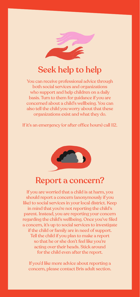

## Seek help to help

You can receive professional advice through both social services and organizations who support and help children on a daily basis. Turn to them for guidance if you are concerned about a child's wellbeing. You can also tell the child you worry about that these organizations exist and what they do.

If it's an emergency (or after office hours) call 112.



#### Report a concern?

If you are worried that a child is at harm, you should report a concern (anonymously if you like) to social services in your local district. Keep in mind that you're not reporting the child's parent. Instead, you are reporting your concern regarding the child's wellbeing. Once you've filed a concern, it's up to social services to investigate if the child or family are in need of support. Tell the child if you plan to make a report so that he or she don't feel like you're acting over their heads. Stick around for the child even after the report.

If you'd like more advice about reporting a concern, please contact Bris adult section.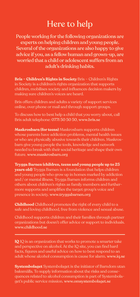## Here to help

People working for the following organizations are experts on helping children and young people. Several of the organizations are also happy to give advice if you, as a fellow human and grown-up, are worried that a child or adolescent suffers from an adult's drinking habits.

**Bris – Children's Rights in Society** Bris – Children's Rights in Society is a children's rights organization that supports children, mobilises society and influences decision makers by making sure children's voices are heard.

Bris offers children and adults a variety of support services online, over phone or mail and through support groups.

To discuss how to best help a child that you worry about, call Bris adult telephone: 0771 50 50 50, [www.bris.se](http://www.bris.se)

**Maskrosbarn (for teens)** Maskrosbarn supports children whose parents have addiction problems, mental health issues or who are physically abusive towards their children. Maskrosbarn give young people the tools, knowledge and network needed to break with their social heritage and shape their own future. [www.maskrosbarn.org](http://www.maskrosbarn.org)

**Trygga Barnen (children, teens and young people up to 25 years old)** Trygga Barnen is a foundation that helps children and young people who grow up in homes marked by addiction and / or mental illness. Trygga Barnen informs children and others about children's rights as family members and furthermore supports and amplifies the target group's voice and presence in society. [www.tryggabarnen.org](http://www.tryggabarnen.org)

**Childhood** Childhood promotes the right of every child to a safe and loving childhood, free from violence and sexual abuse.

Childhood supports children and their families through partner organizations but doesn't offer advice or support to individuals. [www.childhood.se](http://www.childhood.se)

**IQ** IQ is an organization that works to promote a smarter take and perspective on alcohol. At the IQ site, you can find hard facts, figures and useful advice on how to best respond to an adult whose alcohol consumption is cause for alarm. [www.iq.se](http://www.iq.se)

**Systembolaget** Systembolaget is the initiator of Barndom utan baksmälla. To supply information about the risks and consequences related to alcohol consumption is part of Systembolaget's public service mission. [www.omsystembolaget.se](http://www.omsystembolaget.se)